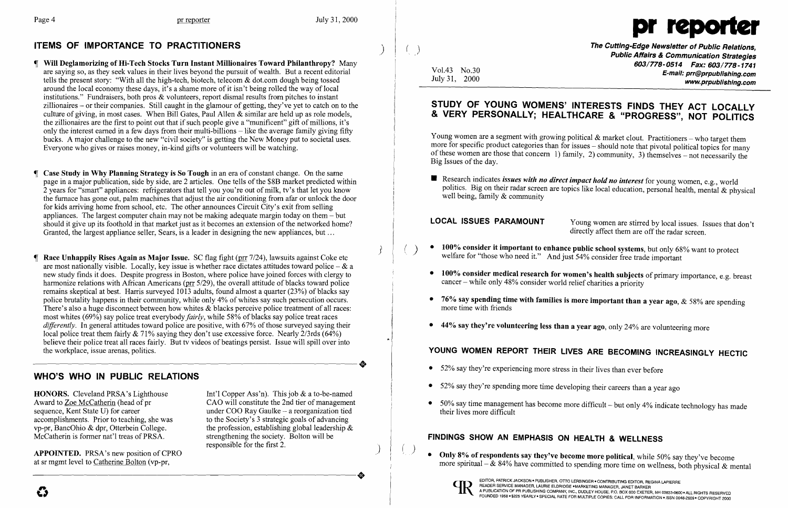## ITEMS OF IMPORTANCE TO PRACTITIONERS



The Cutting-Edge Newsletter of Public Relations,<br>Public Affairs & Communication Strategies 603/778-0514 Fax: 603/778-1741 Vol.43 No.30 **E-mail:** prr@prpublishing.com July 31, 2000 www.prpublishing.com

- Will Deglamorizing of Hi-Tech Stocks Turn Instant Millionaires Toward Philanthropy? Many are saying so, as they seek values in their lives beyond the pursuit of wealth. But a recent editorial tells the present story: "With all the high-tech, biotech, telecom & dot.com dough being tossed around the local economy these days, it's a shame more of it isn't being rolled the way of local institutions." Fundraisers, both pros & volunteers, report dismal results from pitches to instant zillionaires - or their companies. Still caught in the glamour of getting, they've yet to catch on to the culture of giving, in most cases. When Bill Gates, Paul Allen & similar are held up as role models, the zillionaires are the first to point out that if such people give a "munificent" gift of millions, it's only the interest earned in a few days from their multi-billions – like the average family giving fifty bucks. A major challenge to the new "civil society" is getting the New Money put to societal uses. Everyone who gives or raises money, in-kind gifts or volunteers will be watching.
- Case Study in Why Planning Strategy is So Tough in an era of constant change. On the same page in a major publication, side by side, are 2 articles. One tells of the \$8B market predicted within 2 years for "smart" appliances: refrigerators that tell you you're out of milk, tv's that let you know the furnace has gone out, palm machines that adjust the air conditioning from afar or unlock the door for kids arriving home from school, etc. The other announces Circuit City's exit from selling appliances. The largest computer chain may not be making adequate margin today on them  $-$  but should it give up its foothold in that market just as it becomes an extension of the networked home? Granted, the largest appliance seller, Sears, is a leader in designing the new appliances, but ...
- **T** Race Unhappily Rises Again as Major Issue. SC flag fight ( $\text{pr } 7/24$ ), lawsuits against Coke etc are most nationally visible. Locally, key issue is whether race dictates attitudes toward police  $-\&$  a new study finds it does. Despite progress in Boston, where police have joined forces with clergy to harmonize relations with African Americans (prr 5/29), the overall attitude of blacks toward police remains skeptical at best. Harris surveyed 1013 adults, found almost a quarter (23%) of blacks say police brutality happens in their community, while only 4% of whites say such persecution occurs. There's also a huge disconnect between how whites & blacks perceive police treatment of all races: most whites (69%) say police treat everybody *fairly,* while 58% of blacks say police treat races *differently*. In general attitudes toward police are positive, with 67% of those surveyed saying their local police treat them fairly & 71% saying they don't use excessive force. Nearly *2/3rds (64%)*  believe their police treat all races fairly. But tv videos of beatings persist. Issue will spill over into the workplace, issue arenas, politics. the workplace, issue arenas, politics.

**HONORS.** Cleveland PRSA's Lighthouse Int'l Copper Ass'n). This job & a to-be-named<br>Award to Zoe McCatherin (head of pr<br>CAO will constitute the 2nd tier of managemen Award to <u>Zoe McCatherin</u> (head of pr<br>
sequence, Kent State U) for career 
under COO Ray Gaulke – a reorganization tied under COO Ray Gaulke -- a reorganization tied<br>to the Society's 3 strategic goals of advancing the profession, establishing global leadership  $\&$  strengthening the society. Bolton will be responsible for the first 2.

**•** Research indicates *issues with no direct impact hold no interest* for young women, e.g., world well being, family & community

- 
- 100% consider it important to enhance public school systems, but only 68% want to protect welfare for "those who need it." And just 54% consider free trade important
- 100% consider medical research for women's health subjects of primary importance, e.g. breast cancer – while only 48% consider world relief charities a priority
- 76% say spending time with families is more important than a year ago,  $&$  58% are spending more time with friends
- $\bullet$  44% say they're volunteering less than a year ago, only 24% are volunteering more

- 52% say they're experiencing more stress in their lives than ever before
- 52% say they're spending more time developing their careers than a year ago
- $\bullet$  50% say time management has become more difficult but only 4% indicate technology has made their lives more difficult

#### WHO'S WHO IN PUBLIC RELATIONS

accomplishments. Prior to teaching, she was vp-pr, BancOhio & dpr, Otterbein College. McCatherin is former nat'l treas of PRSA.

APPOINTED. PRSA's new position of CPRO at sr mgmt level to Catherine Bolton (vp-pr, APPOINTED. PRSA's new position of CPRO<br>at sr mgmt level to <u>Catherine Bolton</u> (vp-pr,

## STUDY OF YOUNG WOMENS' INTERESTS FINDS THEY ACT LOCALLY & VERY PERSONALLY; HEALTHCARE & "PROGRESS", NOT POLITICS

Young women are a segment with growing political  $\&$  market clout. Practitioners – who target them more for specific product categories than for issues – should note that pivotal political topics for many of these women are those that concern 1) family, 2) community, 3) themselves - not necessarily the Big Issues of the day.

politics. Big on their radar screen are topics like local education, personal health, mental & physical

LOCAL ISSUES PARAMOUNT Young women are stirred by local issues. Issues that don't directly affect them are off the radar screen.

more spiritual  $-$  & 84% have committed to spending more time on wellness, both physical & mental

# YOUNG WOMEN REPORT THEIR LIVES ARE BECOMING INCREASINGLY HECTIC

## FINDINGS SHOW AN EMPHASIS ON HEALTH & WELLNESS

• Only 8% of respondents say they've become more political, while 50% say they've become



 $\bullet$  .

) )

 $\frac{1}{2}$